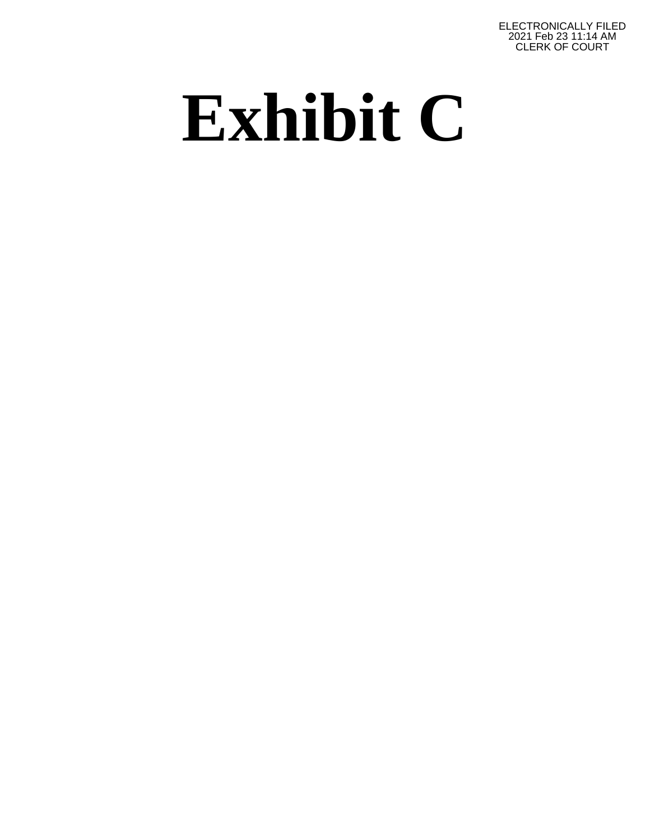ELECTRONICALLY FILED 2021 Feb 23 11:14 AM CLERK OF COURT

## **Exhibit C**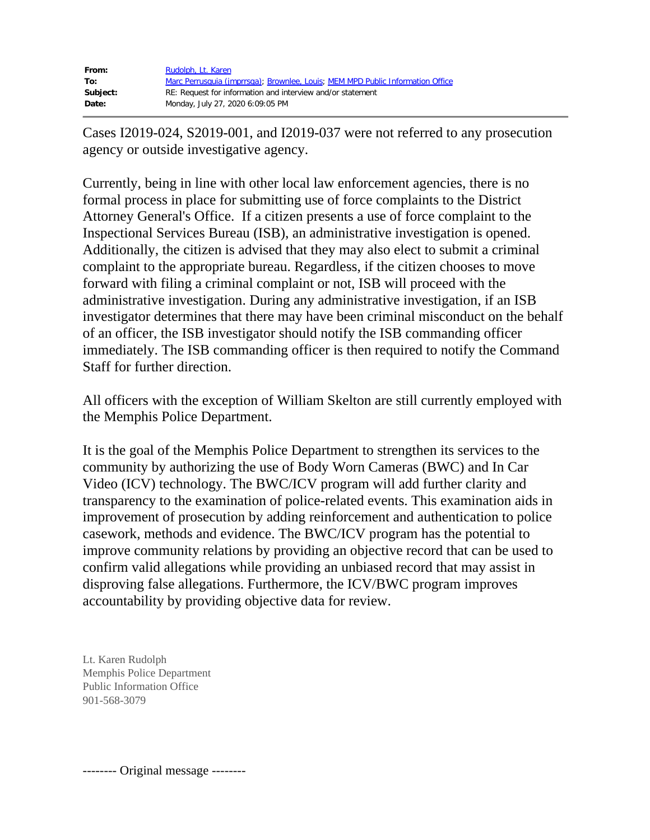| From:    | Rudolph, Lt. Karen                                                             |
|----------|--------------------------------------------------------------------------------|
| To:      | Marc Perrusquia (imprrsga); Brownlee, Louis; MEM MPD Public Information Office |
| Subject: | RE: Request for information and interview and/or statement                     |
| Date:    | Monday, July 27, 2020 6:09:05 PM                                               |

Cases I2019-024, S2019-001, and I2019-037 were not referred to any prosecution agency or outside investigative agency.

Currently, being in line with other local law enforcement agencies, there is no formal process in place for submitting use of force complaints to the District Attorney General's Office. If a citizen presents a use of force complaint to the Inspectional Services Bureau (ISB), an administrative investigation is opened. Additionally, the citizen is advised that they may also elect to submit a criminal complaint to the appropriate bureau. Regardless, if the citizen chooses to move forward with filing a criminal complaint or not, ISB will proceed with the administrative investigation. During any administrative investigation, if an ISB investigator determines that there may have been criminal misconduct on the behalf of an officer, the ISB investigator should notify the ISB commanding officer immediately. The ISB commanding officer is then required to notify the Command Staff for further direction.

All officers with the exception of William Skelton are still currently employed with the Memphis Police Department.

It is the goal of the Memphis Police Department to strengthen its services to the community by authorizing the use of Body Worn Cameras (BWC) and In Car Video (ICV) technology. The BWC/ICV program will add further clarity and transparency to the examination of police-related events. This examination aids in improvement of prosecution by adding reinforcement and authentication to police casework, methods and evidence. The BWC/ICV program has the potential to improve community relations by providing an objective record that can be used to confirm valid allegations while providing an unbiased record that may assist in disproving false allegations. Furthermore, the ICV/BWC program improves accountability by providing objective data for review.

Lt. Karen Rudolph Memphis Police Department Public Information Office 901-568-3079

-------- Original message --------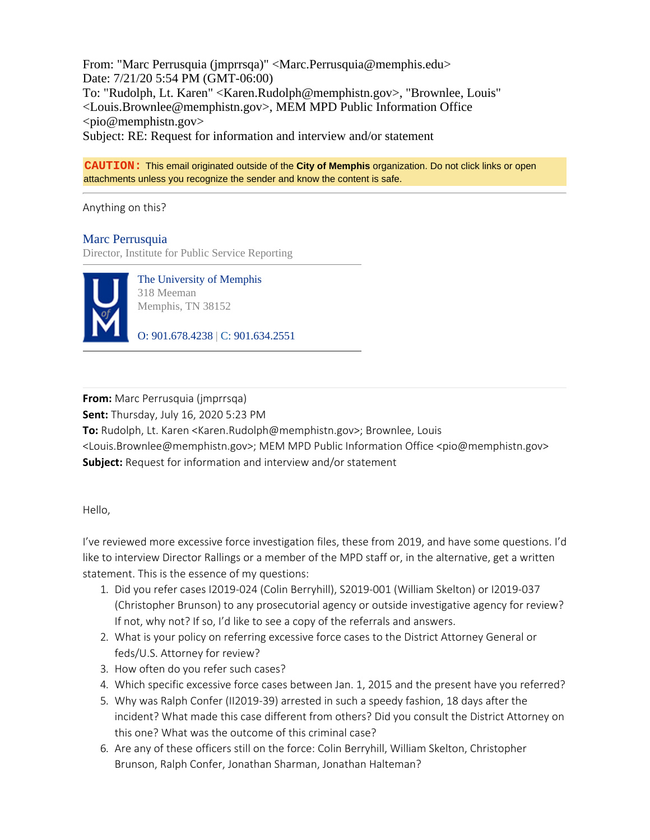From: "Marc Perrusquia (jmprrsqa)" <Marc.Perrusquia@memphis.edu> Date: 7/21/20 5:54 PM (GMT-06:00) To: "Rudolph, Lt. Karen" <Karen.Rudolph@memphistn.gov>, "Brownlee, Louis" <Louis.Brownlee@memphistn.gov>, MEM MPD Public Information Office  $<$ pio@memphistn.gov> Subject: RE: Request for information and interview and/or statement

**CAUTION:** This email originated outside of the **City of Memphis** organization. Do not click links or open attachments unless you recognize the sender and know the content is safe.

Anything on this?

## Marc Perrusquia

Director, Institute for Public Service Reporting



The University of Memphis 318 Meeman Memphis, TN 38152

O: 901.678.4238 | C: 901.634.2551

**From:** Marc Perrusquia (jmprrsqa) **Sent:** Thursday, July 16, 2020 5:23 PM **To:** Rudolph, Lt. Karen <Karen.Rudolph@memphistn.gov>; Brownlee, Louis <Louis.Brownlee@memphistn.gov>; MEM MPD Public Information Office <pio@memphistn.gov> **Subject:** Request for information and interview and/or statement

Hello,

I've reviewed more excessive force investigation files, these from 2019, and have some questions. I'd like to interview Director Rallings or a member of the MPD staff or, in the alternative, get a written statement. This is the essence of my questions:

- 1. Did you refer cases I2019-024 (Colin Berryhill), S2019-001 (William Skelton) or I2019-037 (Christopher Brunson) to any prosecutorial agency or outside investigative agency for review? If not, why not? If so, I'd like to see a copy of the referrals and answers.
- 2. What is your policy on referring excessive force cases to the District Attorney General or feds/U.S. Attorney for review?
- 3. How often do you refer such cases?
- 4. Which specific excessive force cases between Jan. 1, 2015 and the present have you referred?
- 5. Why was Ralph Confer (II2019-39) arrested in such a speedy fashion, 18 days after the incident? What made this case different from others? Did you consult the District Attorney on this one? What was the outcome of this criminal case?
- 6. Are any of these officers still on the force: Colin Berryhill, William Skelton, Christopher Brunson, Ralph Confer, Jonathan Sharman, Jonathan Halteman?